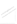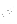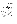บัณฑิตวิทยาลัยสถาบันราชภัฏพิบูลสงคราม อำเภอเมือง จังหวัดพิษณุโลก 65000

10 มกราคม 2545

เรื่อง ขอความอนุเคราะห์ออกหนังสือให้ผู้ทรงคุณวุฒิตรวจแบบสอบถาม

เรียน ผู้อำนวยการสำนักงานคณะกรรมการบัณฑิตศึกษา

ด้วยดิฉัน นางเครือฟ้า ณ ถลาง นักศึกษาปริญญาโท สาขาวิชาศาจรับริหาร การศึกษา สังกัดสำนักงานบัณฑิตวิทยาลัยสถาบันราชภัฏพิบูลสงคราม ใต้ทำจิพิยานิพนธ์ เรื่องการศึกษาภาพลักษณ์ของอาจารย์คหกรรมศาสตร์ในวิทยาลัยอาชีสติกษ์ที่ โสงกัดกรมอาชีว **ทึกษาในเขตการศึกษาภาคเหนือตามความคิดเห็นของผู้บริหารและอ่างงระยั** เพื่อเป็นส่วนหนึ่ง ของการศึกษาตามหลักสูตรครุศาสตรมหาบัณฑิตจังหลัดพิษณุโลก ปิดยมีรองศาสตราจารย์ ฤกษ์ชัย <mark>คุณูปการ เป็นอาจารย์ที่ปรึกษ</mark>าวิทยา<del>นีพินธ์ (</del>ขุดความกรุณาให้บัณฑิตวิทยาลัย<u>ล</u>ุสุก หนังสือขอความอนุเคราะห์ผู้ทรงคุณวุฒิตราชินบันสอบถามในการศึกษาครั้งนี้ ซึ่งมีผู้ทรงคุณวุฒิ ิตามรายนามดั้งต่อไปนี้

1. ดร.สุขแก้ว คือสุสัน อาจารย์สถาบันราชภัฏพิบูลสงครามพิษณ์สถา 2. รองศูกต์ตราจารย์วิราพร พงศ์อาจารย์ อาจารย์สถิงยันราชภัฏพิบูลสงคราม พิษณุโลย

3 ไดร์ ทัศนีย์ จารุรัดน์จามร อาจารย์วิทยงได้ยี่อ้าชีวศึกษาพิษณุโลก 4. รองศาสตราจารย์ ดร.นงศรังญี่ >ทำญจนประเสริฐ อาจารย์สถาบัณราชภัฏ พิบุลสงครามพิษณุโลก

5. นายจีรพงษ์ (ผลงว่านี้ชั้นชื่อยผู้อำนวยการวิทยาลัยอาชีวศึกษาพิษณุโลก

จึงเรียนม์ เพื่อไปรดพิจารณาให้ความอนุเคราะห์ ในการออกหนังสือเชิญผู้ทรงคุณ วุฒิตราจิแบบลอิบภามในการทำวิจัยในครั้งนี้

ขอแสดงความนับถือ

เครือฟ้า ณ ถลาง

( นางเครือฟ้า ณ ถลาง )

นักศึกษาปริญญาโท รุ่นที่ 2 สถาบันราชภัฏพิบูลสงครามพิษณุโลก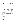ที่ศธ. 1515.02/059

สำนักงานคณะกรรมการบัณฑิตศึกษา สถาบันราชภัฏพิบูลสงคราม อำเภอเมือง จังหวัดพิษณุโลก 65000

12 มกราคม 2545

ขอความอนุเคราะห์แก้ไขเครื่องมือที่ใช้ในการศึกษา ้เรื่อง

เรียน

สิ่งที่ส่งมาตัวย 1. คำชี้แจงประกอบการพิจารณาแบบสอบถาม

่ 2. เครื่องมือที่ใช้ในการเก็บข้อมูล

ด้วย นางเครือฟ้า ณ ถลาง นักศึกษาปริญญาโท หลักสูตรครุศาสตรมหาบัณฑิต สาขาการบริหารการศึกษาภาคพิเศษ สถาบันราชฏัฏผู้พิมูลสงครามพิษณุโลก ได้ทำวิทยานิพินธุ์ เรื่องการศึกษาภาพลักษณ์ของอาจารย์คหกรรมิศาสตร์ให้รับยาลัยอาชีวศึกษา สังกัดก็รมอิจซิง ุ ศึกษาในเขตการศึกษาภาคเหนือตามคว้ามุคิตให้นของผู้บริหารและอาจารย์ เพื่อเป็นสุ่รินหนึ่ง ของการศึกษาตามหลักสูตร์ที่รุศาสตรมหาบัณฑิตโดยมี รองศาสตราจารย์ถูกอัฐ์อิริ ้คุณูปการ เป็นอาจารย์ที่ปรึกษาวิชยิงนี้พมธ์

2 ในการศึกษาเรื่องนี้ สำนักงานคณะกรรมการหักเพิ่งเดิกษา พิจารณาเห็นว่าท่าน เป็นผู้มีควร์มิฐั (ความเชี่ยวชาญในเรื่องนี้เป็นอย่างดี (จึงใคร์ข้อเรียนเชิญท่านเป็นผู้ทรงคุณวุฒิ นิจรรณาครวชิ้นก้ไขเครื่องมือที่ใช้ในการศึกษ์จัดงินนบมา พร้อมนี้สำนักงานคณะกรรมการ งัณฑิตศึกษาสถาบันราชภัฏพิบูลสงครามพิษณุโลก หวังเป็นอย่างยิ่งว่าคงจะได้รับความ  $^\circ$ อันุเคราะห์จากท่านด้วยดี และชอัขอบัคณอย่างยิ่งมา ณ โอกาสนี้

จึงเรียนมาเพื่อโปรดให้ความอนุเคราะห์

ขอแสดงความนับถือ

อำนวยพร สุนทรสมัย ( ผู้ช่วยศาสตราจารย์ ดร.อำนวยพร สุนทรสมัย ) ผู้อำนวยการสำนักงานคณะกรรมการบัณฑิตศึกษา

ลำนักงานคณะกรรมการบัณฑิตศึกษา Ins. 055-258584 #0 729, 241711 โทรตาร 055 = 241711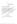บัณฑิตวิทยาลัยสถาบันราชภัฏพิบูลสงคราม อำเภอเมือง จังหวัดพิษณุโลก 65000

ี ธันวาคม 2545 23

เรื่อง ขอความอนุเคราะห์ออกหนังสือขออนุญาตเก็บข้อมูลเพื่อการวิจัย

เรียน ผู้อำนวยการสำนักงานคณะกรรมการบัณฑิตศึกษา

ณ ถลาง นักศึกษาปริญญาโท สถข้าจุ๊ชงการบริหาร ด้วยดิฉัน นางเครือฟ้า การศึกษา สังกัดสำนักงานบัณฑิตวิทยาลัย สถาบันราชภัฏพิบูลสะคราม ใต้ทำวิทยานิพนธ์ เรื่องการศึกษาภาพลักษณ์ของอาจารย์คหกรรมศาสดร์ในอีทยาลัยอ\ซึ่งตึกษา สังกัดกรมอาชีว ุ ศึกษาในเขตการศึกษาภาคเหนือตามความคิดเห็นของผู้บริหางและองจารย์ เพื่อเป็นส่วนหนึ่ง ของการศึกษาดามหลักสูตรครุศาสตรมหาบัณฑิตจังหวัดพิษณุโลก โดยมีรองศาสตราจุสุรัย ถุกษ์ชัย คุณูปการ เป็นอาจารย์ที่ปรึกษาอิทย์จูนิพนธ์ ชื่อความกรุณาให้บัณฑิตจิทยงสั้นออก หนังสือขออนุญาตเก็บข้อมูลเพื่อคูาร์จิ้จัยในงารศึกษาครั้งนี้ต่ออธิบดีกรุมอาชีวุสิกษา

จึงเรียนมารพัสโปรุดิพิจารณาให้ความอนุเคราะห์ ในการออกหนังสือขออนุญาต เก็บข้อมูลเพื่อการวิจัยโนครั้งนี้

ขอโสดงความนับถือ

เครือฟ้า ณ ถลาง

( นางเครือฟ้า ณ ถลาง )

\_\_<br>กษาปริญญาโท รุ่นที่ 2 สถาบันราชภัฏพิบูลสงครามพิษณุโลก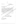ที่ ศธ.1515.02 / ว 048

สถาบันราชภัฏพิบูลสงคราม อำเภอเมือง จังหวัดพิษณุโลก 65000

ี ธันวาคม 2545 25

เรื่อง ขอความอนุเคราะห์ในการเก็บข้อมูล

เรียน อธิบดีกรมอาชีวศึกษา

ด้วย นางเครือฟ้า ณ ถลาง นักศึกษาระดับบัณฑิตศึกษา หลักสูตรครศาสตร-ึมหาบัณฑิต สาขาบริหารการศึกษา รุ่นที่ 2 กำลังดำเนินการทำวิทยานิพันธุ์ ∖เรื่องการศึกษา ภาพลักษณ์ของอาจารย์คหกรรมศาสตร์ในวิทยาลัยอาชีวศึกษา สิ่งกัดอรมอาชีวศึกษาในเขต กา**รศึกษาภาคเหนือตามความคิดเห็นของผู้บริห**ารและอาจ<sup>ุ</sup>ริษั \พื่อเป็นส่วนหนึ่งของการศึกษา ดามหลักสูตรครุศาสตรมหาบัณฑิต จังหวัดพิษณ์โลกั โดยใช้แบบทดสอบเพื่อให้การดำเนิน การดังกล่าวดำเนินไปด้วยความเรียบร้อยและสมบูรณ์<sup>อา</sup>สำนักงานกรรมการบัญฑิตศึกษา สถาบันราชภัฏพิบูลสงคราม จังหวัดพิษณุโลก ใคร่ขอความอนุเคราะห์จูลก์ท่านอินุญาตให้ นักศึกษาผู้นี้เก็บข้อมูลด้วย

จึงเรียนมาโพื่อโปรด์พิจารณาให้ความอนุเคราะห์แล้ะขอขอบัพระคุณมา **ณ โอกาสนี้** 

้อำนวยพร สุนทรสมัย วิชัศาสตราจารย์ ดร.อำนวยพร สุนทรสมัย) ผู้อำนวยการสำนักงานคณะกรรมการบัณฑิดศึกษา

ขัญแสด็งความนับถือ

สำนักงานคณะกรรมการบัณฑิดศึกษา โทร. 055 – 258584 ต่อ 729.241711 โทรสาร. 055 – 241711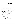#### 124

#### ( สำเนา )

**4** WE. 0911 1170

กรมอาชีวศึกษา ns:nsasinwi%nis nwu. 10300

จำน*า*นใ

15 มกราคม 2546

เรื่อง อนุญาตให้เก็บข้อมูล

ผู้อำนวยการสำนักงานคณะกรรมการบัณฑิตศึกษา เรียน

้อ้างถึง หนังสือสถาบันราชภัฏพิบูลสงคราม ที่ ศธ.1515.02/ว 084 ลงวันที่ 25 ธันวาคม 2545

์สิ่งที่ส่งมาด้วย 1. แบบสอบถามเพื่อการวิจัย

ีตามหนังสืออ้างถึงแจ้งว่า นางเครือฟ้า ณ ถลาง นักศึกษาระพับบัณฑิตศึกษา หลักสูตรครุศาสตรมหาบัณฑิต สาขาการบริหารการศึกษา รันที่ & สิถาโน้นราชภัฏพิบูลสงคราม มีความประสงค์จะเก็บข้อมูลในสถานศึกษาสังกัดกรมอาชีวศึกษาร่วม 8) แห่ง ้เพื่อทำวิทยา <code>ศาสตร์ในวิทยาลัยอาชีวศึกษา สั</mark>งกัดกรมสาชี้สุดีสมาในเขิดการศึกษาภาคเหนือส่งมคงามอิส</code> +ห็นของผู้บริหารและอาจารุย์*ฐ รา*มส์ะเอียดทราบแล้วนั้น

nsมอาชีวศึกษา ฟังส์รณาใช้วอนุญาดให้ นางเครือฟัก ณ\สัดงับ ตำเนินการเก็บ  $\,$ รวบรวมข้อมูลเพื่อทำลูงิพัยานิพนิธ์ ในสถานศึกษาสังกัดกรมอาชีวส์ทหฺ�� จ้านวน 8 แห่ง ดาม รายชื่อที่<del>นั่น</del>ปี ได้ \ \

อนึ่ง นบบสอบถามที่กรมอาชีวอนุญาตให้ให้เคียข้อมูล จะมี**ดราประทับและลายมือ** ซื่อ<sub>ี</sub>กัญที่มุ่มบนด้านขวาของทุกแผ่น เพื่อเป็นดินินบับในการเก็บ**ข้อมูลต่อไป** 

จึงเรียนมาเพื่อโปรดสรัฐบิ้งและกรุณาส่งผลงานการทำวิทยานิพนธ์ให้กรมอาชีว คึกษาทราบในโอกาสต่อไปสู่ชิ้น จัก๊ขอบคุณยิ่ง

ขอแสดงความนับถือ

nqwriid gyuws ( นางสาวกฤษณีย์ อุทุมพร ) ์ศึกษานิเทศก์ 8 รักษาการในดำแหน่งหัวหน้าหน่วยศึกษานิเทศก์ ปฏิบัติการแทน อธิบดีกรมอาชีวศึกษา

~iauGnwiiirn~n" Ins. 0-2281-5555 do 1802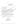### สำนักงานคณะกรรมการบัณฑิตศึกษา สถาบันราชภัฏพิบูลสงคราม อำเภอเมือง จังหวัดพิษณุโลก 65000

20 มกราคม 2546

เรื่อง ขอความอนุเคราะห์ตอบแบบสอบถาม

ผู้อำนวยการวิทยาลัยอาชีวศึกษา........ เรียน

สิ่งที่ส่งมาด้วย แบบสอบถามเพื่อการวิจัย

ด้วยข้าพเจ้า นางเครือฟ้า ณ ถลาง นักสู้คนฟังไริโนญิมุโท หลักสูตรครุศาสตร มหาบัณฑิต สาขาการบริหารการศึกษา ภาคพีเดิษ สถิ่งบันราชภัฏพีบูลสงครามพิษณุโลกใต้จ ทำวิทยานิพนธ์ เรื่องการศึกษาภาพลักษณ์มอังจารย์ที่ผู้ครรมศาสตร์ในวิทยาลัยอาชีวส์กันบิ สังกัดกรมอาชีวศึกษาในเขตุการศึกษาที่าโจเหนือตามความคิดเห็นของผู้บริหารและอาจารย์ เพื่อเป็นส่วนหนึ่งของการศึกษาตะมิพลัสสูตรครุศาสตรมหาบัณฑิต โดยมี ริยิงศาสตราจารย์ คุณูปการ เป็นสาจาริย์ที่ปรึกษาวิทยานิพนธ์ ฤกษ์ชัย

2 ในกรรมี ไดร่ขอความอนุเคราะห์จากท่าน โปร์ตู้มีอิบัหมายให้อาจารย์ภายใน วิทยาลัยของพิจนต์อุษแบบสอบถาม จำนวน ..... ชุด

∖อนี้งการตอบแบบสอบถามครั้งนี้ สะใ้ม่มีผลกระทบต่อตัวท่านและวิทยาลัยของท่าน ให้อย่างไดเพราะมิได้ให้ท่านระบุชื่อ และผลิมฮงการศึกษามิได้พิจารณาเป็นรายบุคคลหรือราย ี้วิ๊ทยาลัย แต่จะสรุปเป็นภาพรสุมเพื่อนำไปเป็นข้อมูลในการพัฒนาการศึกษาของกรมอาชีว ศึกษาต่อไป

งี้ยินมิวเพื่อโปรดให้ความอนุเคราะห์และขอขอบพระคุณอย่างสูงมา ณ โอกาสนี้

ขอแสตงความนับถือ

้เครือฟ้า ณ…ถลาง ( นางเครือฟ้า ณ ถลาง ) นักศึกษาปริญญาโท เอกบริหารการศึกษา สถาบันราชภัฏพิบูลสงครามพิษณุโลก

125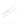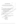แบบสอบถามเพื่อการวิจัย

(ชุดที่ ........)

**CALLAND** 

เรื่อง การศึกษาภาพลักษณ์ของอาจารย์คหกรรมศาสตร์ในวิทยาลัยอาชีวศึกษา สังกัดกรมอาชีวศึกษาในเขตการศึกษาภาคเหนือตามความคิดเห็นของผู้บริหารและอาจารย์

# คำชี้แจง

แบบสอบถามฉบับนี้ด้องการทราบความคิดเห็นของผู้บริหารและคาจารย์ ที่มีต่อ ภาพลักษณ์ของอาจารย์คหกรรมศาสตร์ ในฐานะที่ท่านเป็นผู้บริหาร์หรืออาจารย์คนหนึ่งใน วิทยาลัยแห่งนี้ ขอให้ท่านตอบตามความคิดเห็นและข้อเท็จจริงมากที่สุด

แบบสอบถามมี 2 ตอน คือ

ตอนที่ 1 ข้อมูลส่วนด้วของผู้สองแบ่มูลอบสัม

ตอนที่ 2 ความคิดเห็นเกี่ยวกับภาพลักษณ์ของอาจารย์คหกรรมศาสตร์ ะหันแบบ มาตราส่วนประมาณค่า (Rating Scale) จำนวน 40 ข้อ

ดอนที่สั่วข้อมูลสิ่งนี้ตัวของผู้ตอบแบบสอบถาม คริชี้แจง โปรดเลือกตอบโดยเขียนเครื่องหมาย ้ลงใน ( ) ซึ่งตรงกับความ .กี่ยัวกับตัวท่าน

1. ตำแหน่ง

् ในบิริหรั่ว (ผู้อำนวยการ ผู้ช่วย หัวหน้าคณะ และหัวหน้าแผนก) อาจารย์ (ยกเว้น อาจารย์คหกรรมศาสตร์)

์ฒิทางการ**ศึกษา** 

- ) ปริญญาตรีหรือต่ำกว่า
- ) สูงกว่าปริญญาตรี
- 3. ประสบการณ์ในการทำงาน
	- ( ) น้อยกว่า 11 ปี
	- ( ) ตั้งแต่ 11 ปีขึ้นไป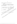# ี **ตอนที่ 2** ความคิดเห็นของผู้บริหารและอาจารย์เกี่ยวกับภาพลักษณ์ของอาจารย์ คหกรรมศาสตร์

์ คำชี้แจง โปรดอ่านข้อความแสดงภาพลักษณ์โดยรวมของอาจารย์คหกรรมศาสาดร์ ี และกรุณาเลือกดอบโดยขีดเครื่องหมาย ✔ ลงในช่องที่ดรงกับความคิดเห็นของท่านเพียง ข้อละ 1 คำตอบ ดังตัวอย่างด่อไปนี้

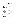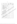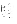|                                       |                                    |                            | เห็นด้วย    |      |                |  |
|---------------------------------------|------------------------------------|----------------------------|-------------|------|----------------|--|
| ภาพลักษณ์ของอาจารย์คหกรรมศาสตร์       | มาก<br>ที่สุด                      | มาก                        | ปาน<br>กลาง | น้อย | น้อย<br>ที่สุด |  |
| 4. ด้านการครองตน                      |                                    |                            |             |      |                |  |
| 31. ความประพฤติเหมาะสมกับบทบาทหน้าที่ |                                    |                            |             |      |                |  |
| 32. ศึกษาหาความรู้เพิ่มเติมอยู่เสมอ   |                                    |                            |             |      |                |  |
| 33. มีฐานะทางเศรษฐกิจมั่นคง           |                                    |                            |             |      |                |  |
| 34. รู้จักแยกปัญหาส่วนตัวออกจากงาน    |                                    |                            |             |      |                |  |
| 35. ชีวิตครอบครัวอบอุ่นราบรื่น        |                                    |                            |             |      |                |  |
| 36. ดำเนินชีวิดอยู่ในกรอบของกฎหมาย    |                                    |                            |             |      |                |  |
| 37. มีสติปัญญาปฏิภาณใหวพริบดี         |                                    |                            |             |      |                |  |
| 38. สุภาพอ่อนโยน                      |                                    |                            |             |      |                |  |
| 39. เป็นบุคคลที่มีประสิทธิภาพ         |                                    |                            |             |      |                |  |
| 40. มีความสุขุมเยือกเย็น              |                                    |                            |             |      |                |  |
|                                       |                                    |                            |             |      |                |  |
| ผู้บริหารและอาจารย์ทุกทั่วมี<br>ะัคณ  |                                    | หึ้ให้อวามกรุณาในการดอบแบบ |             |      |                |  |
| สอบกามในครั้ง                         |                                    |                            |             |      |                |  |
| JULE                                  |                                    | (นางเครือฟ้า               | ณ ถลาง)     |      |                |  |
|                                       | นักศึกษาปริญญาโท เอกบริหารการศึกษา |                            |             |      |                |  |
|                                       | สถาบันราชภัฏพิบูลสงคราม พิษณุโลก   |                            |             |      |                |  |

倒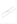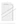ตาราง 28 ผลการหาค่าดัชนีความสอดคล้องจากการพิจารณาของผู้ทรงคุณวุฒิ

|   |                         |               | คะแนนความคิดเห็นของผู้ทรงคุณวุฒิ |                              |             |                  | รวม                     | ค่าเฉลี่ย    |               |  |  |
|---|-------------------------|---------------|----------------------------------|------------------------------|-------------|------------------|-------------------------|--------------|---------------|--|--|
|   | ข้อที่                  | ึกนที่ 1      | ุคนที่ 2                         | คนที่ 3                      | ุคนที่ 4    | ุคนที่ 5         | คะแนน                   | (IOC)        | สรุปผล        |  |  |
|   | $1+$                    | $+1$          | $\mathbf 0$                      | $+1$                         | $+1$        | $+1$             | $\overline{\mathbf{4}}$ | 0.8          | ใช้ได้        |  |  |
|   | $\overline{2}$          | $+1$          | $+1$                             | $+1$                         | $+1$        | $+1$             | 5                       | 1            | ใช้ได้        |  |  |
|   | 3                       | $+1$          | $+1$                             | $+1$                         | $+1$        | $+1$             | 5                       | $\mathbf 1$  | ใช้ได้        |  |  |
|   | $\overline{\mathbf{4}}$ | $+1$          | $+1$                             | $+1$                         | $+1$        | $+1$             | 5                       | 1            | ln            |  |  |
|   | $\overline{5}$          | $+1$          | $+1$                             | $+1$                         | $+1$        | $+1$             | 5                       |              | $\frac{1}{2}$ |  |  |
|   | $\boldsymbol{6}$        | $+1$          | $+1$                             | $+1$                         | $\mathbf 0$ | $+1$             | $\overline{4}$          | 0.8          | ไซ้ได้        |  |  |
|   | $\overline{7}$          | $\pmb{0}$     | $+1$                             | $+1$                         | $+1$        | $+1$             | T                       | $8^{90}$     | ใช้ได้        |  |  |
|   | $\bf 8$                 | $+1$          | $+1$                             | $+1$                         | $+1$        | $\sum_{i=1}^{n}$ | Ø,                      | 1            | ใช้ได้        |  |  |
|   | $9\phantom{.}$          | $+1$          | $+1$                             | $+1$                         | $+1$        |                  | 致                       | $\mathbf{1}$ | ใช้ได้        |  |  |
|   | 10 <sub>1</sub>         | $+1$          | $+1$                             | $+1$                         | 乐作          | 彩                | 5                       | $\mathbf 1$  | ใช้ได้        |  |  |
|   | 11                      | $+1$          | $\mathbf 0$                      |                              |             | $+1$             | $\overline{4}$          | 9.8          | โซได้         |  |  |
|   | 12                      | $+1$          | $+12^{3}$                        | 当時                           | $+1$        | $+1$             | 5 <sub>k</sub>          |              | ใช้ได้        |  |  |
|   | 13                      | $+1$          |                                  | $\overset{\rightarrow}{*}$ 1 | $+1$        | $+1$             | \$                      | 1            | ใช้ได้        |  |  |
|   | 14                      | $+16$         |                                  | $+1$                         | $+1$        | ÷.               | 5                       | $\mathbf{1}$ | ใช้ได้        |  |  |
|   | 15 <sub>1</sub>         | $\frac{1}{2}$ | $+1$                             | $+1$                         | $+1$        | 951              | 5                       | $\mathbf 1$  | ใช้ได้        |  |  |
|   | 愿                       | 科             | $+1$                             | $+1$                         |             | $\frac{1}{1}$    | $\overline{5}$          | 1            | ใช้ได้        |  |  |
| ♦ | $\mathbb{X}$            | $+1$          | $+1$                             | $+1$                         |             | $\mathbf 0$      | $\overline{\mathbf{4}}$ | 0.8          | ใช้ได้        |  |  |
|   | 18                      | $+1$          | $+1$                             |                              | $+1$        | $+1$             | 5 <sub>1</sub>          | 1            | ใช้ได้        |  |  |
|   | 19                      | $+1$          |                                  | أحوت                         | $+1$        | $+1$             | 5                       | 1            | ใช้ได้        |  |  |
|   | 20                      | $+1$          |                                  | $+1$                         | $+1$        | $+1$             | 5                       | $\mathbf 1$  | ใช้ได้        |  |  |
|   | ♦<br>21                 |               | $+1$                             | $+1$                         | $+1$        | $+1$             | 5                       | $1 -$        | ใช้ได้        |  |  |
|   | 22 <sup>6</sup>         | $+1$          | $+1$                             | $+1$                         | $+1$        | $+1$             | $\overline{5}$          | $\mathbf{1}$ | ใช้ได้        |  |  |
|   | $23^{\circ}$            | $\mathbb O$   | $+1$                             | $+1$                         | $+1$        | $+1$             | $\overline{\mathbf{4}}$ | 0.8          | ใช้ได้        |  |  |
|   | 24                      | $+1$          | $+1$                             | $\mathbf{0}$                 | $+1$        | $+1$             | $\overline{\mathbf{4}}$ | 0.8          | ใช้ได้        |  |  |
|   | 25                      | $+1$          | $+1$                             | $+1$                         | $+1$        | $+1$             | $5\phantom{.}$          | $\mathbf{1}$ | ใช้ได้        |  |  |
|   | 26                      | $+1$          | $+1$                             | $+1$                         | $+1$        | $+1$             | 5                       | $\mathbf{1}$ | ใช้ได้        |  |  |
|   | 27                      | $+1$          | $+1$                             | $+1$                         | $+1$        | $+1$             | $\overline{5}$          | $\mathbf 1$  | ใช้ได้        |  |  |
|   |                         |               |                                  |                              |             |                  |                         |              |               |  |  |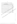|        |           | ้คะแนนความคิดเห็นของผู้ทรงคุณวุฒิ |           |             |                      | รวม                     | ค่าเฉลี่ย    |                |
|--------|-----------|-----------------------------------|-----------|-------------|----------------------|-------------------------|--------------|----------------|
| ข้อที่ | ึคนที่ 1  | ุคนที่ 2                          | ุคนที่ 3  | ึคนที่ 4    | คนที่ $\overline{5}$ | คะแนน                   | (IOC)        | สรุปผล         |
| 28     | $+1$      | $+1$                              | $+1$      | $+1$        | $+1$                 | $\mathfrak s$           | $\mathbf{1}$ | ใช้ได้         |
| 29     | $+1$      | $-1$                              | $+1$      | $+1$        | $+1$                 | $\overline{\mathbf{4}}$ | 0.8          | ใช้ได้         |
| 30     | $+1$      | $+1$                              | $\pmb{0}$ | $+1$        | $+1$                 | $\overline{\mathbf{4}}$ | 0.8          | ใช้ได้         |
| 31     | $+1$      | $+1$                              | $+1$      | $+1$        | $+1$                 | $\mathbf 5$             | $\mathbf{1}$ | ไซ้ได้         |
| 32     | $+1$      | $+1$                              | $+1$      | $+1$        | $+1$                 | 5                       | 1            | ไซ้ได้         |
| 33     | $\pmb{0}$ | $+1$                              | $+1$      | $+1$        | $+1$                 | $\overline{\mathbf{4}}$ | 0.8          | ใช้ได้         |
| 34     | $+1$      | $+1$                              | $+1$      | $+1$        | $\overline{0}$       |                         | 80           | ใช้ได้         |
| 35     | $+1$      | $\pmb{0}$                         | $+1$      | $+1$        |                      |                         | 0.8          | ใช้ได้         |
| 36     | $+1$      | $+1$                              | $+1$      | $+$ $\circ$ |                      | $5^{\circ}$             | $\mathbf{1}$ | ใช้ได้         |
| 37     | $+1$      | $+1$                              | $+1$      |             |                      | $\sqrt{5}$              | $\mathbf 1$  | $\mathbb{Z}^4$ |
| 38     | $+1$      | $+1$                              |           |             | $+1$                 | $\sqrt{5}$              |              |                |
| 39     | $+1$      | $+$ $\circ$                       |           | $+1$        | $+1$                 | $\overline{5}$          |              | ใช้ได้         |
| 40     | $+1$      |                                   |           | $+1$        | $+1$                 |                         |              | ใช้ได้         |
|        |           |                                   |           |             |                      |                         |              |                |
|        |           |                                   |           |             |                      |                         |              |                |
|        |           |                                   |           |             |                      |                         |              |                |
|        |           |                                   |           |             |                      |                         |              |                |

ิตาราง 28 (ต่อ) ผลการหาค่าดัชนีความสอดคล้องจากการพิจารณาของผู้ทรงคุณวุฒิ

134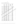|                 | Scale    | Scale    | Corrected   |                  | Alpha              |  |
|-----------------|----------|----------|-------------|------------------|--------------------|--|
|                 | Mean     | Variance | Item        | Squared          | if Item            |  |
|                 | if Item  | if Item  | Total       | Multiple         | Deleted            |  |
|                 | Deleted  | Deleted  | Correlation | Correlation      |                    |  |
| V <sub>1</sub>  | 148.3500 | 304.7974 | .5148       |                  | .9642              |  |
| V <sub>2</sub>  | 148.4500 | 302.8692 | .5308       |                  | .9642              |  |
| V3              | 148.6750 | 300.4814 | .6184       |                  | 9638               |  |
| V <sub>4</sub>  | 147.8250 | 309.1737 | .4040       |                  | 9646               |  |
| V <sub>5</sub>  | 148.3000 | 301.2410 | .6256       |                  | .9637              |  |
| V <sub>6</sub>  | 148.7000 | 301.6000 | .6389       |                  | .9636              |  |
| V <sub>7</sub>  | 148.5500 | 298.5615 | 7095        |                  | .9633 <sub>0</sub> |  |
| V8              | 148.8250 | 299.4301 | 6698        |                  | $-9635$            |  |
| V <sub>9</sub>  | 148.4750 | 303.9994 | .5060       |                  | 9643               |  |
| V10             | 148.2000 | 300.7282 | .6410       |                  | .9636              |  |
| V11             | 148.5000 | 303.6410 | .5786       |                  | .9639              |  |
| V12             | 48.1500  | 301.9256 | .6267       |                  | .9637              |  |
| V13             | 148.6000 | 301.6821 | 5765        | $c_{\mathbf{k}}$ | .9640              |  |
| $\sqrt{14}$     | 148.5250 | 305.3327 | 5739        |                  | .9640              |  |
| 怗               | 148.0250 | 3118999  | .3246       |                  | .9648              |  |
| V16             | 148.3000 | 303,1897 | .6613       |                  | .9636              |  |
| V17             | 148.1000 | 305.0667 | .5283       |                  | .9641              |  |
| V18             | 148-2000 | 299.8564 | .7606       |                  | .9631              |  |
| V.19.           | 148.2500 | 298.2436 | .7452       |                  | .9631              |  |
| <b>V20</b>      | 148.4000 | 301.6821 | .7148       | ٠                | .9633              |  |
| $\sqrt{21}$     | 148.6750 | 304.9426 | .4949       |                  | .9643              |  |
| V <sub>22</sub> | 148.6000 | 300.0410 | .6757       |                  | .9635              |  |
| V <sub>23</sub> | 148.1250 | 310.8045 | .6161       |                  | .9637              |  |
| V <sub>24</sub> | 148.4500 | 299.8436 | .6512       |                  | .9636              |  |
| V25             | 148.5250 | 298.4609 | .6284       |                  | .9638              |  |

## ิตาราง 29 ผลการหาค่าสัมประสิทธิ์แอลฟาของแบบสอบถาม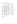|                   | Scale    | Scale    | Corrected   | Squared     | Alpha              |
|-------------------|----------|----------|-------------|-------------|--------------------|
|                   | Mean     | Variance | Item        |             | if Item            |
|                   | if Item  | if Item  | Total       | Multiple    | Deleted            |
|                   | Deleted  | Deleted  | Correlation | Correlation |                    |
| V26               | 148.5500 | 300.2026 | .7190       |             | .9633              |
| V27               | 148.6500 | 294.3359 | .7917       |             | .9628              |
| V28               | 148.5250 | 302.2558 | .6777       |             | 9635               |
| V29               | 148.7500 | 294.6026 | .7818       |             | 9629               |
| V30               | 148.6250 | 300.8045 | .6780       |             | .9635              |
| V31               | 148.1500 | 300.6949 | .6432       |             | .9636              |
| V32               | 148.3500 | 303.3615 | 5783        |             | .9639 <sub>0</sub> |
| V33               | 148.3500 | 303.1564 | 6637        |             | :9644              |
| V34               | 148.7750 | 294.2301 | .7135       |             | .9633              |
| V35               | 148.0500 | 306,2026 | .5226       |             | .9642              |
| V36               | 148.0000 | 306.2931 | .5010       |             | .9642              |
| V3Z               | 148.3500 | 301.2077 | .6357       |             | .9637              |
| V38               | 148.3750 | 300.1378 | 7073        |             | .9633              |
| $\sqrt{39}$<br>ГЯ | 148.1750 | 303.6865 | 6526        |             | .9636              |
| /¥0               | 148.3500 | 297.2956 | .7750       |             | .9630              |

ตาราง 29 (ต่อ) ผลการหาค่าสัมประสิทธิ์แอลฟาของแบบสอบถาม

Reliability Coefficients

N of  $\text{CaseS}_{\text{max}}$   $\left(\frac{20}{40}\right)$  N of Items = 40 Alpha  $\rightarrow$  .9646

136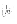

ี ตารางที่ 30 การกำหนดขนาดของกลุ่มตัวอย่างตาม ยามาเน่ (Yamane) ที่ 95%

b - ใช้ไม่ได้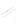